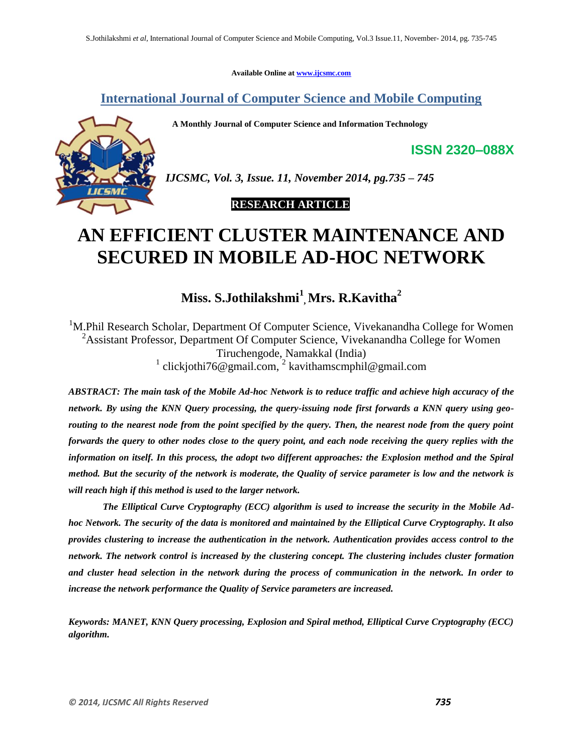**Available Online at [www.ijcsmc.com](http://www.ijcsmc.com/)**

**International Journal of Computer Science and Mobile Computing**

 **A Monthly Journal of Computer Science and Information Technology**



*IJCSMC, Vol. 3, Issue. 11, November 2014, pg.735 – 745*

## **RESEARCH ARTICLE**

# **AN EFFICIENT CLUSTER MAINTENANCE AND SECURED IN MOBILE AD-HOC NETWORK**

**Miss. S.Jothilakshmi<sup>1</sup> , Mrs. R.Kavitha<sup>2</sup>**

<sup>1</sup>M.Phil Research Scholar, Department Of Computer Science, Vivekanandha College for Women <sup>2</sup>Assistant Professor, Department Of Computer Science, Vivekanandha College for Women Tiruchengode, Namakkal (India) <sup>1</sup> clickjothi76@gmail.com, <sup>2</sup> kavithamscmphil@gmail.com

*ABSTRACT: The main task of the Mobile Ad-hoc Network is to reduce traffic and achieve high accuracy of the network. By using the KNN Query processing, the query-issuing node first forwards a KNN query using georouting to the nearest node from the point specified by the query. Then, the nearest node from the query point forwards the query to other nodes close to the query point, and each node receiving the query replies with the information on itself. In this process, the adopt two different approaches: the Explosion method and the Spiral method. But the security of the network is moderate, the Quality of service parameter is low and the network is will reach high if this method is used to the larger network.*

*The Elliptical Curve Cryptography (ECC) algorithm is used to increase the security in the Mobile Adhoc Network. The security of the data is monitored and maintained by the Elliptical Curve Cryptography. It also provides clustering to increase the authentication in the network. Authentication provides access control to the network. The network control is increased by the clustering concept. The clustering includes cluster formation and cluster head selection in the network during the process of communication in the network. In order to increase the network performance the Quality of Service parameters are increased.* 

*Keywords: MANET, KNN Query processing, Explosion and Spiral method, Elliptical Curve Cryptography (ECC) algorithm.* 

**ISSN 2320–088X**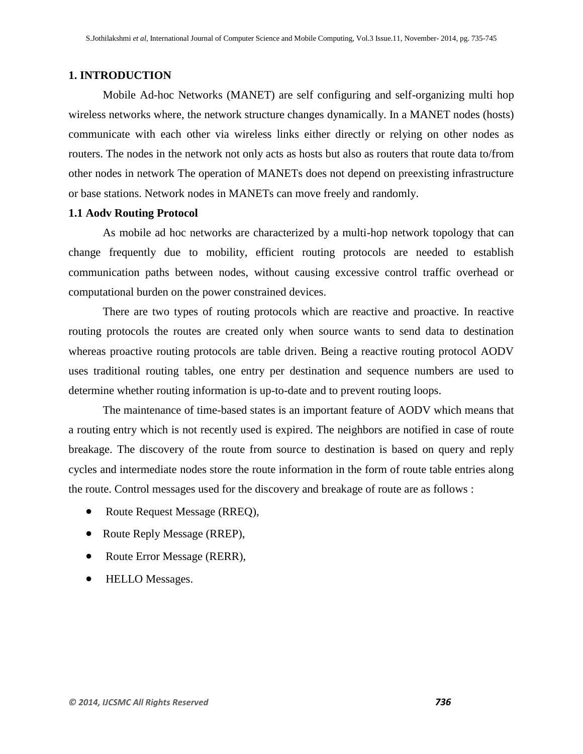## **1. INTRODUCTION**

Mobile Ad-hoc Networks (MANET) are self configuring and self-organizing multi hop wireless networks where, the network structure changes dynamically. In a MANET nodes (hosts) communicate with each other via wireless links either directly or relying on other nodes as routers. The nodes in the network not only acts as hosts but also as routers that route data to/from other nodes in network The operation of MANETs does not depend on preexisting infrastructure or base stations. Network nodes in MANETs can move freely and randomly.

#### **1.1 Aodv Routing Protocol**

As mobile ad hoc networks are characterized by a multi-hop network topology that can change frequently due to mobility, efficient routing protocols are needed to establish communication paths between nodes, without causing excessive control traffic overhead or computational burden on the power constrained devices.

 There are two types of routing protocols which are reactive and proactive. In reactive routing protocols the routes are created only when source wants to send data to destination whereas proactive routing protocols are table driven. Being a reactive routing protocol AODV uses traditional routing tables, one entry per destination and sequence numbers are used to determine whether routing information is up-to-date and to prevent routing loops.

 The maintenance of time-based states is an important feature of AODV which means that a routing entry which is not recently used is expired. The neighbors are notified in case of route breakage. The discovery of the route from source to destination is based on query and reply cycles and intermediate nodes store the route information in the form of route table entries along the route. Control messages used for the discovery and breakage of route are as follows :

- Route Request Message (RREQ),
- Route Reply Message (RREP),
- Route Error Message (RERR),
- HELLO Messages.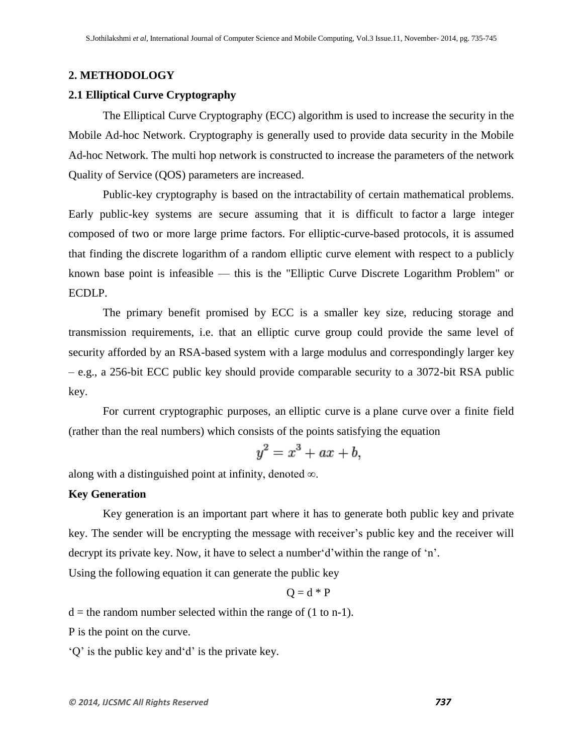#### **2. METHODOLOGY**

#### **2.1 Elliptical Curve Cryptography**

The Elliptical Curve Cryptography (ECC) algorithm is used to increase the security in the Mobile Ad-hoc Network. Cryptography is generally used to provide data security in the Mobile Ad-hoc Network. The multi hop network is constructed to increase the parameters of the network Quality of Service (QOS) parameters are increased.

Public-key cryptography is based on the [intractability](http://en.wikipedia.org/wiki/Intractability_(complexity)#Intractability) of certain mathematical problems. Early public-key systems are secure assuming that it is difficult to [factor](http://en.wikipedia.org/wiki/Integer_factorization) a large integer composed of two or more large prime factors. For elliptic-curve-based protocols, it is assumed that finding the [discrete logarithm](http://en.wikipedia.org/wiki/Discrete_logarithm) of a random elliptic curve element with respect to a publicly known base point is infeasible — this is the "Elliptic Curve Discrete Logarithm Problem" or ECDLP.

The primary benefit promised by ECC is a smaller key size, reducing storage and transmission requirements, i.e. that an elliptic curve group could provide the same level of security afforded by an RSA-based system with a large modulus and correspondingly larger key – e.g., a 256-bit ECC public key should provide comparable security to a 3072-bit RSA public key.

For current cryptographic purposes, an elliptic curve is a [plane curve](http://en.wikipedia.org/wiki/Plane_curve) over a finite field (rather than the real numbers) which consists of the points satisfying the equation

$$
y^2 = x^3 + ax + b,
$$

along with a distinguished [point at infinity,](http://en.wikipedia.org/wiki/Point_at_infinity) denoted  $\infty$ .

## **Key Generation**

Key generation is an important part where it has to generate both public key and private key. The sender will be encrypting the message with receiver's public key and the receiver will decrypt its private key. Now, it have to select a number d'within the range of 'n'.

Using the following equation it can generate the public key

$$
Q = d * P
$$

 $d =$  the random number selected within the range of (1 to n-1).

P is the point on the curve.

 $\mathcal{P}$  is the public key and d' is the private key.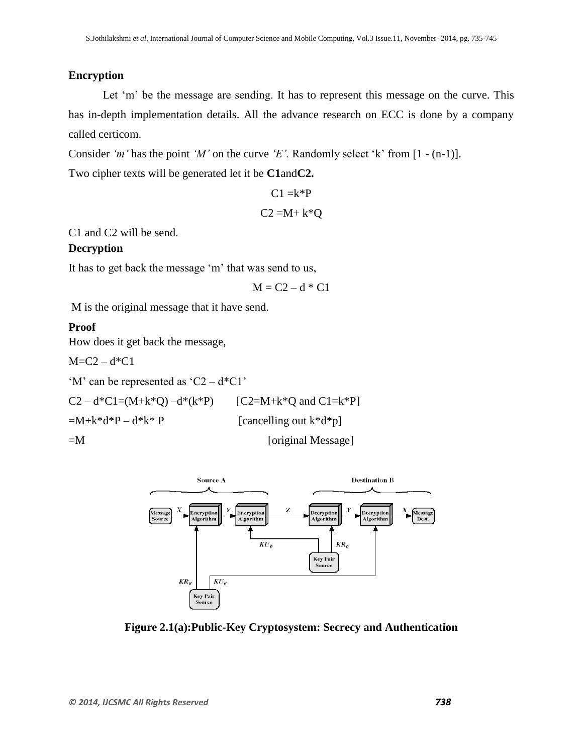## **Encryption**

Let 'm' be the message are sending. It has to represent this message on the curve. This has in-depth implementation details. All the advance research on ECC is done by a company called certicom.

Consider *'m'* has the point *'M'* on the curve *'E'*. Randomly select 'k' from [1 - (n-1)].

Two cipher texts will be generated let it be **C1**and**C2.**

```
C1 = k^*PC2 = M + k*Q
```
C1 and C2 will be send.

#### **Decryption**

It has to get back the message 'm' that was send to us,

$$
M = C2 - d * C1
$$

M is the original message that it have send.

#### **Proof**

How does it get back the message,

 $M = C2 - d*C1$ 

'M' can be represented as 'C2 –  $d^*Cl$ '

 $C2 - d*C1 = (M+k*Q) - d*(k*P)$  [C2=M+k\*Q and C1=k\*P]

 $=M+k*d*P-d*k*P$  [cancelling out k\*d\*p]

=M [original Message]



**Figure 2.1(a):Public-Key Cryptosystem: Secrecy and Authentication**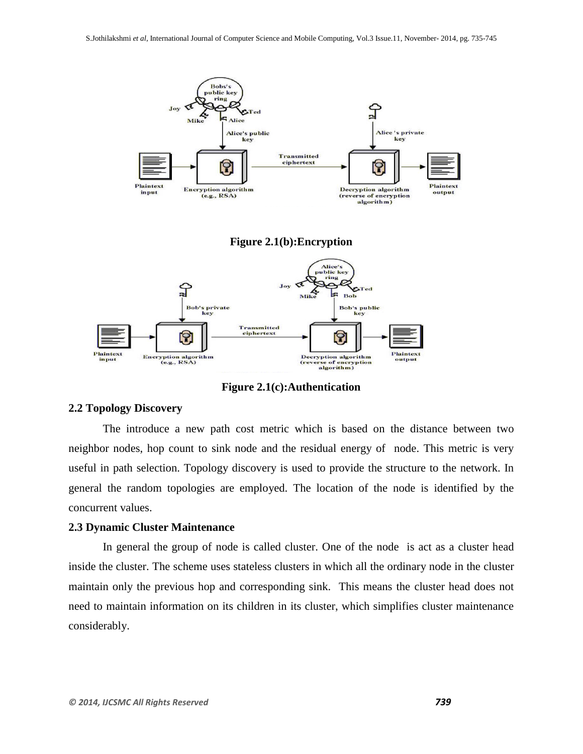

**Figure 2.1(c):Authentication**

## **2.2 Topology Discovery**

The introduce a new path cost metric which is based on the distance between two neighbor nodes, hop count to sink node and the residual energy of node. This metric is very useful in path selection. Topology discovery is used to provide the structure to the network. In general the random topologies are employed. The location of the node is identified by the concurrent values.

#### **2.3 Dynamic Cluster Maintenance**

In general the group of node is called cluster. One of the node is act as a cluster head inside the cluster. The scheme uses stateless clusters in which all the ordinary node in the cluster maintain only the previous hop and corresponding sink. This means the cluster head does not need to maintain information on its children in its cluster, which simplifies cluster maintenance considerably.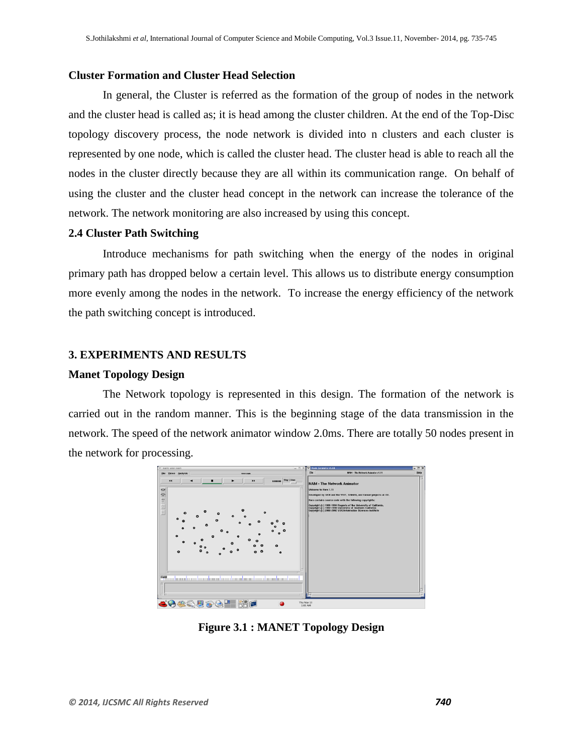#### **Cluster Formation and Cluster Head Selection**

In general, the Cluster is referred as the formation of the group of nodes in the network and the cluster head is called as; it is head among the cluster children. At the end of the Top-Disc topology discovery process, the node network is divided into n clusters and each cluster is represented by one node, which is called the cluster head. The cluster head is able to reach all the nodes in the cluster directly because they are all within its communication range. On behalf of using the cluster and the cluster head concept in the network can increase the tolerance of the network. The network monitoring are also increased by using this concept.

## **2.4 Cluster Path Switching**

Introduce mechanisms for path switching when the energy of the nodes in original primary path has dropped below a certain level. This allows us to distribute energy consumption more evenly among the nodes in the network. To increase the energy efficiency of the network the path switching concept is introduced.

#### **3. EXPERIMENTS AND RESULTS**

#### **Manet Topology Design**

The Network topology is represented in this design. The formation of the network is carried out in the random manner. This is the beginning stage of the data transmission in the network. The speed of the network animator window 2.0ms. There are totally 50 nodes present in the network for processing.



**Figure 3.1 : MANET Topology Design**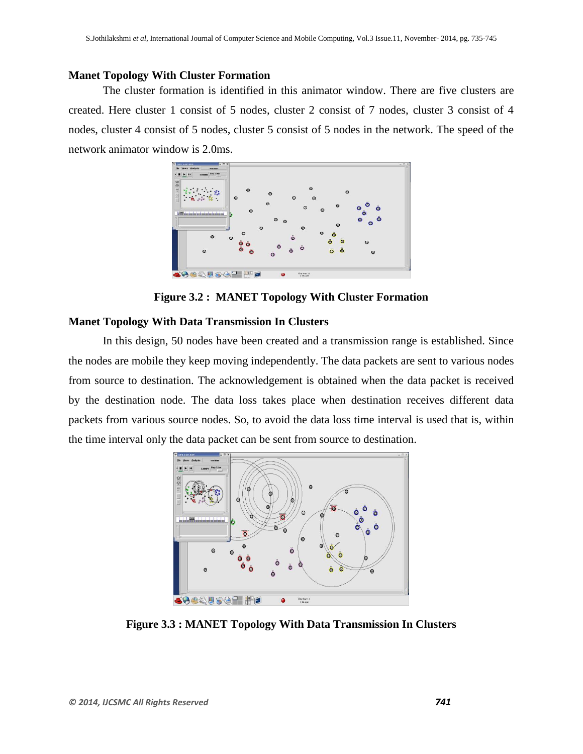## **Manet Topology With Cluster Formation**

The cluster formation is identified in this animator window. There are five clusters are created. Here cluster 1 consist of 5 nodes, cluster 2 consist of 7 nodes, cluster 3 consist of 4 nodes, cluster 4 consist of 5 nodes, cluster 5 consist of 5 nodes in the network. The speed of the network animator window is 2.0ms.



**Figure 3.2 : MANET Topology With Cluster Formation**

#### **Manet Topology With Data Transmission In Clusters**

In this design, 50 nodes have been created and a transmission range is established. Since the nodes are mobile they keep moving independently. The data packets are sent to various nodes from source to destination. The acknowledgement is obtained when the data packet is received by the destination node. The data loss takes place when destination receives different data packets from various source nodes. So, to avoid the data loss time interval is used that is, within the time interval only the data packet can be sent from source to destination.



**Figure 3.3 : MANET Topology With Data Transmission In Clusters**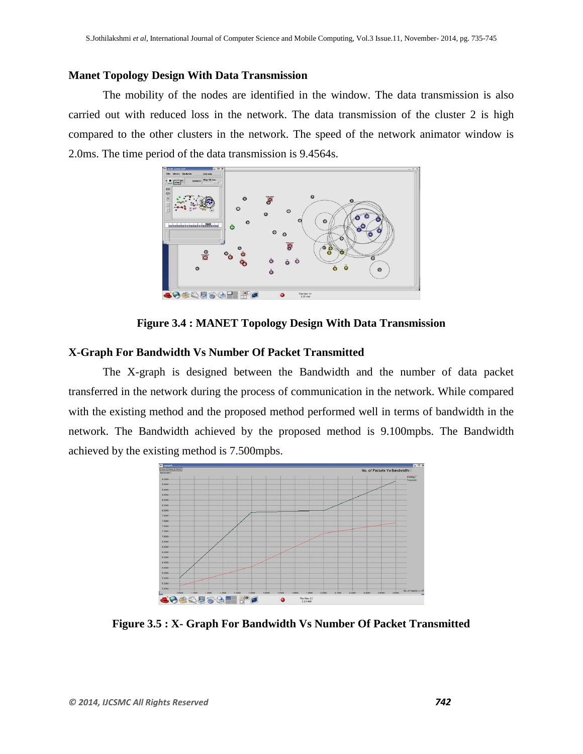#### **Manet Topology Design With Data Transmission**

The mobility of the nodes are identified in the window. The data transmission is also carried out with reduced loss in the network. The data transmission of the cluster 2 is high compared to the other clusters in the network. The speed of the network animator window is 2.0ms. The time period of the data transmission is 9.4564s.



**Figure 3.4 : MANET Topology Design With Data Transmission**

## **X-Graph For Bandwidth Vs Number Of Packet Transmitted**

The X-graph is designed between the Bandwidth and the number of data packet transferred in the network during the process of communication in the network. While compared with the existing method and the proposed method performed well in terms of bandwidth in the network. The Bandwidth achieved by the proposed method is 9.100mpbs. The Bandwidth achieved by the existing method is 7.500mpbs.



**Figure 3.5 : X- Graph For Bandwidth Vs Number Of Packet Transmitted**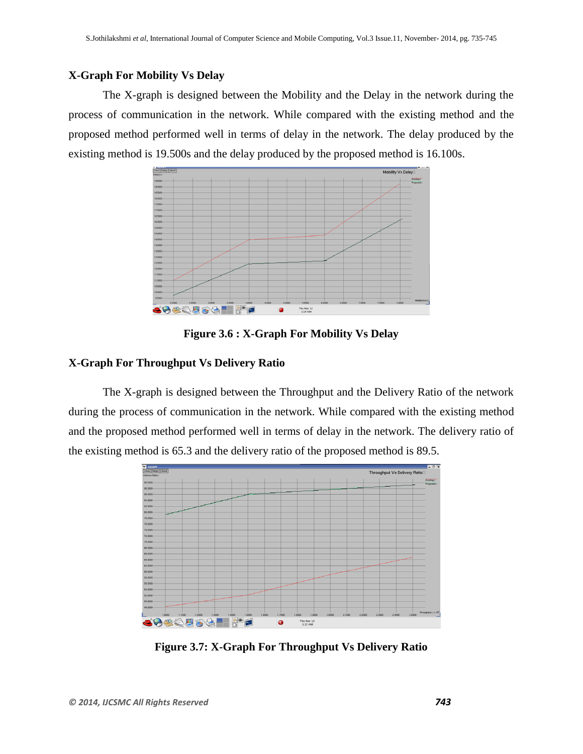## **X-Graph For Mobility Vs Delay**

The X-graph is designed between the Mobility and the Delay in the network during the process of communication in the network. While compared with the existing method and the proposed method performed well in terms of delay in the network. The delay produced by the existing method is 19.500s and the delay produced by the proposed method is 16.100s.



**Figure 3.6 : X-Graph For Mobility Vs Delay**

#### **X-Graph For Throughput Vs Delivery Ratio**

The X-graph is designed between the Throughput and the Delivery Ratio of the network during the process of communication in the network. While compared with the existing method and the proposed method performed well in terms of delay in the network. The delivery ratio of the existing method is 65.3 and the delivery ratio of the proposed method is 89.5.



**Figure 3.7: X-Graph For Throughput Vs Delivery Ratio**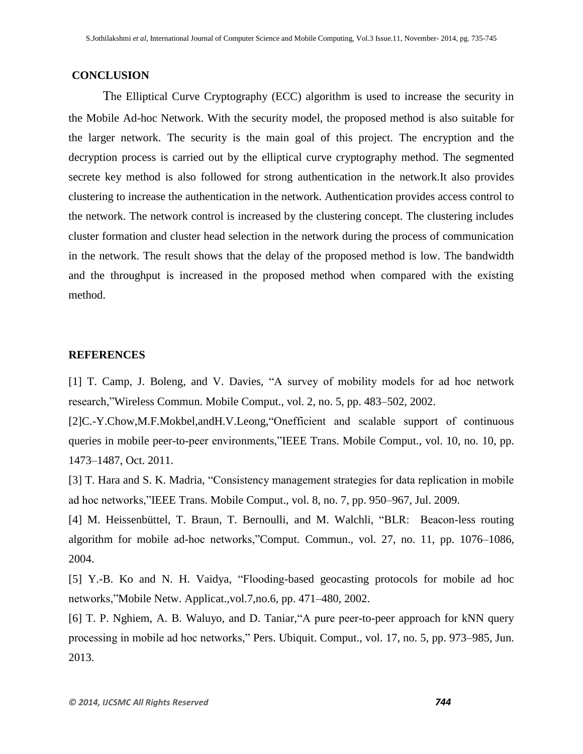#### **CONCLUSION**

The Elliptical Curve Cryptography (ECC) algorithm is used to increase the security in the Mobile Ad-hoc Network. With the security model, the proposed method is also suitable for the larger network. The security is the main goal of this project. The encryption and the decryption process is carried out by the elliptical curve cryptography method. The segmented secrete key method is also followed for strong authentication in the network.It also provides clustering to increase the authentication in the network. Authentication provides access control to the network. The network control is increased by the clustering concept. The clustering includes cluster formation and cluster head selection in the network during the process of communication in the network. The result shows that the delay of the proposed method is low. The bandwidth and the throughput is increased in the proposed method when compared with the existing method.

#### **REFERENCES**

[1] T. Camp, J. Boleng, and V. Davies, "A survey of mobility models for ad hoc network research, "Wireless Commun. Mobile Comput., vol. 2, no. 5, pp. 483–502, 2002.

[2]C.-Y.Chow,M.F.Mokbel,andH.V.Leong, "Onefficient and scalable support of continuous queries in mobile peer-to-peer environments,"IEEE Trans. Mobile Comput., vol. 10, no. 10, pp. 1473–1487, Oct. 2011.

[3] T. Hara and S. K. Madria, "Consistency management strategies for data replication in mobile ad hoc networks,‖IEEE Trans. Mobile Comput., vol. 8, no. 7, pp. 950–967, Jul. 2009.

[4] M. Heissenbüttel, T. Braun, T. Bernoulli, and M. Walchli, "BLR: Beacon-less routing algorithm for mobile ad-hoc networks, "Comput. Commun., vol. 27, no. 11, pp. 1076–1086, 2004.

[5] Y.-B. Ko and N. H. Vaidya, "Flooding-based geocasting protocols for mobile ad hoc networks,"Mobile Netw. Applicat.,vol.7,no.6, pp. 471–480, 2002.

[6] T. P. Nghiem, A. B. Waluyo, and D. Taniar, "A pure peer-to-peer approach for kNN query processing in mobile ad hoc networks," Pers. Ubiquit. Comput., vol. 17, no. 5, pp. 973–985, Jun. 2013.